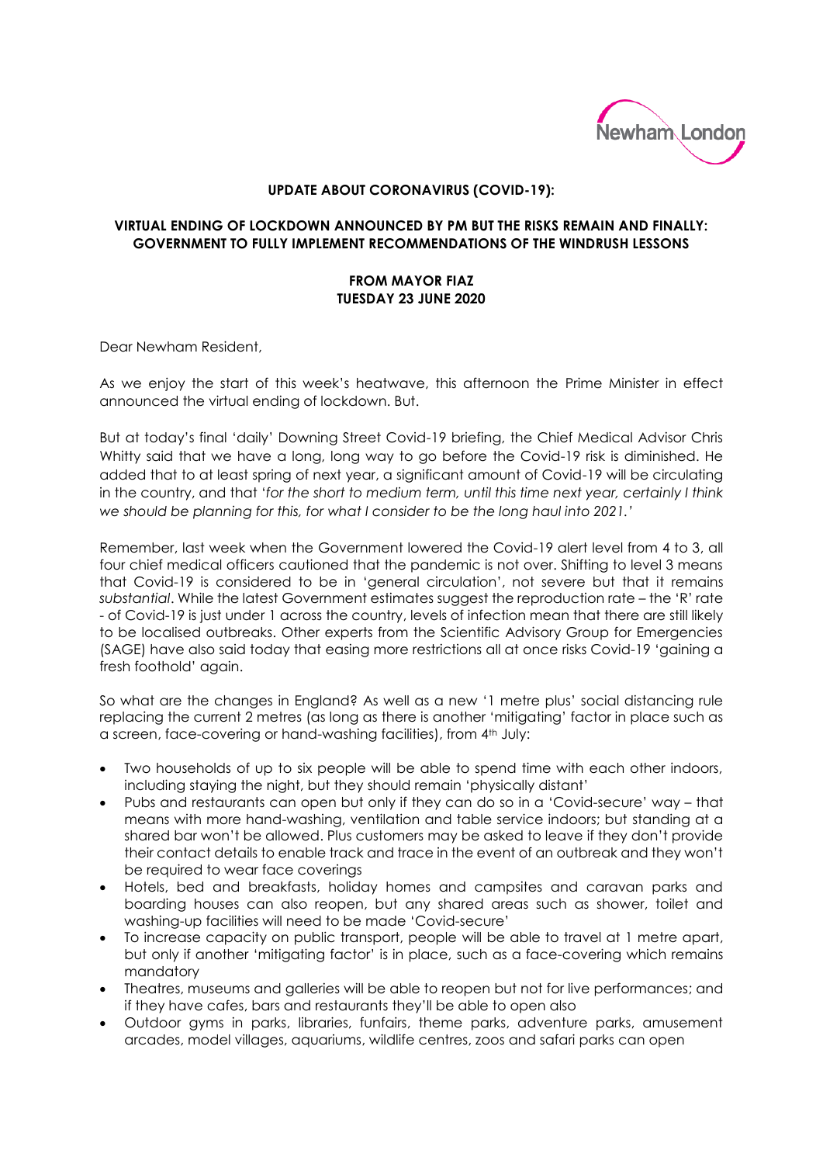

## **UPDATE ABOUT CORONAVIRUS (COVID-19):**

## **VIRTUAL ENDING OF LOCKDOWN ANNOUNCED BY PM BUT THE RISKS REMAIN AND FINALLY: GOVERNMENT TO FULLY IMPLEMENT RECOMMENDATIONS OF THE WINDRUSH LESSONS**

## **FROM MAYOR FIAZ TUESDAY 23 JUNE 2020**

Dear Newham Resident,

As we enjoy the start of this week's heatwave, this afternoon the Prime Minister in effect announced the virtual ending of lockdown. But.

But at today's final 'daily' Downing Street Covid-19 briefing, the Chief Medical Advisor Chris Whitty said that we have a long, long way to go before the Covid-19 risk is diminished. He added that to at least spring of next year, a significant amount of Covid-19 will be circulating in the country, and that '*for the short to medium term, until this time next year, certainly I think we should be planning for this, for what I consider to be the long haul into 2021.'*

Remember, last week when the Government lowered the Covid-19 alert level from 4 to 3, all four chief medical officers cautioned that the pandemic is not over. Shifting to level 3 means that Covid-19 is considered to be in 'general circulation', not severe but that it remains *substantial*. While the latest Government estimates suggest the reproduction rate – the 'R' rate - of Covid-19 is just under 1 across the country, levels of infection mean that there are still likely to be localised outbreaks. Other experts from the Scientific Advisory Group for Emergencies (SAGE) have also said today that easing more restrictions all at once risks Covid-19 'gaining a fresh foothold' again.

So what are the changes in England? As well as a new '1 metre plus' social distancing rule replacing the current 2 metres (as long as there is another 'mitigating' factor in place such as a screen, face-covering or hand-washing facilities), from 4th July:

- Two households of up to six people will be able to spend time with each other indoors, including staying the night, but they should remain 'physically distant'
- Pubs and restaurants can open but only if they can do so in a 'Covid-secure' way that means with more hand-washing, ventilation and table service indoors; but standing at a shared bar won't be allowed. Plus customers may be asked to leave if they don't provide their contact details to enable track and trace in the event of an outbreak and they won't be required to wear face coverings
- Hotels, bed and breakfasts, holiday homes and campsites and caravan parks and boarding houses can also reopen, but any shared areas such as shower, toilet and washing-up facilities will need to be made 'Covid-secure'
- To increase capacity on public transport, people will be able to travel at 1 metre apart, but only if another 'mitigating factor' is in place, such as a face-covering which remains mandatory
- Theatres, museums and galleries will be able to reopen but not for live performances; and if they have cafes, bars and restaurants they'll be able to open also
- Outdoor gyms in parks, libraries, funfairs, theme parks, adventure parks, amusement arcades, model villages, aquariums, wildlife centres, zoos and safari parks can open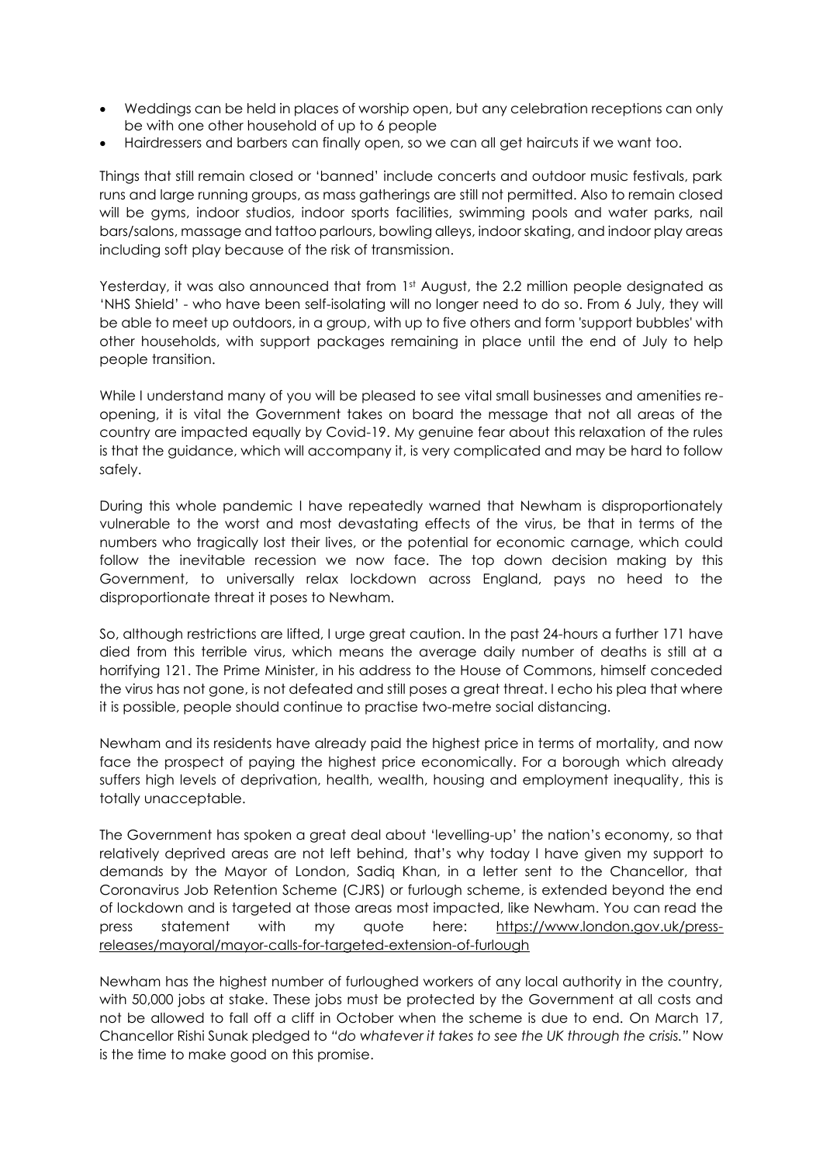- Weddings can be held in places of worship open, but any celebration receptions can only be with one other household of up to 6 people
- Hairdressers and barbers can finally open, so we can all get haircuts if we want too.

Things that still remain closed or 'banned' include concerts and outdoor music festivals, park runs and large running groups, as mass gatherings are still not permitted. Also to remain closed will be gyms, indoor studios, indoor sports facilities, swimming pools and water parks, nail bars/salons, massage and tattoo parlours, bowling alleys, indoor skating, and indoor play areas including soft play because of the risk of transmission.

Yesterday, it was also announced that from 1<sup>st</sup> August, the 2.2 million people designated as 'NHS Shield' - who have been self-isolating will no longer need to do so. From 6 July, they will be able to meet up outdoors, in a group, with up to five others and form 'support bubbles' with other households, with support packages remaining in place until the end of July to help people transition.

While I understand many of you will be pleased to see vital small businesses and amenities reopening, it is vital the Government takes on board the message that not all areas of the country are impacted equally by Covid-19. My genuine fear about this relaxation of the rules is that the guidance, which will accompany it, is very complicated and may be hard to follow safely.

During this whole pandemic I have repeatedly warned that Newham is disproportionately vulnerable to the worst and most devastating effects of the virus, be that in terms of the numbers who tragically lost their lives, or the potential for economic carnage, which could follow the inevitable recession we now face. The top down decision making by this Government, to universally relax lockdown across England, pays no heed to the disproportionate threat it poses to Newham.

So, although restrictions are lifted, I urge great caution. In the past 24-hours a further 171 have died from this terrible virus, which means the average daily number of deaths is still at a horrifying 121. The Prime Minister, in his address to the House of Commons, himself conceded the virus has not gone, is not defeated and still poses a great threat. I echo his plea that where it is possible, people should continue to practise two-metre social distancing.

Newham and its residents have already paid the highest price in terms of mortality, and now face the prospect of paying the highest price economically. For a borough which already suffers high levels of deprivation, health, wealth, housing and employment inequality, this is totally unacceptable.

The Government has spoken a great deal about 'levelling-up' the nation's economy, so that relatively deprived areas are not left behind, that's why today I have given my support to demands by the Mayor of London, Sadiq Khan, in a letter sent to the Chancellor, that Coronavirus Job Retention Scheme (CJRS) or furlough scheme, is extended beyond the end of lockdown and is targeted at those areas most impacted, like Newham. You can read the press statement with my quote here: [https://www.london.gov.uk/press](https://www.london.gov.uk/press-releases/mayoral/mayor-calls-for-targeted-extension-of-furlough)[releases/mayoral/mayor-calls-for-targeted-extension-of-furlough](https://www.london.gov.uk/press-releases/mayoral/mayor-calls-for-targeted-extension-of-furlough)

Newham has the highest number of furloughed workers of any local authority in the country, with 50,000 jobs at stake. These jobs must be protected by the Government at all costs and not be allowed to fall off a cliff in October when the scheme is due to end. On March 17, Chancellor Rishi Sunak pledged to *"do whatever it takes to see the UK through the crisis."* Now is the time to make good on this promise.